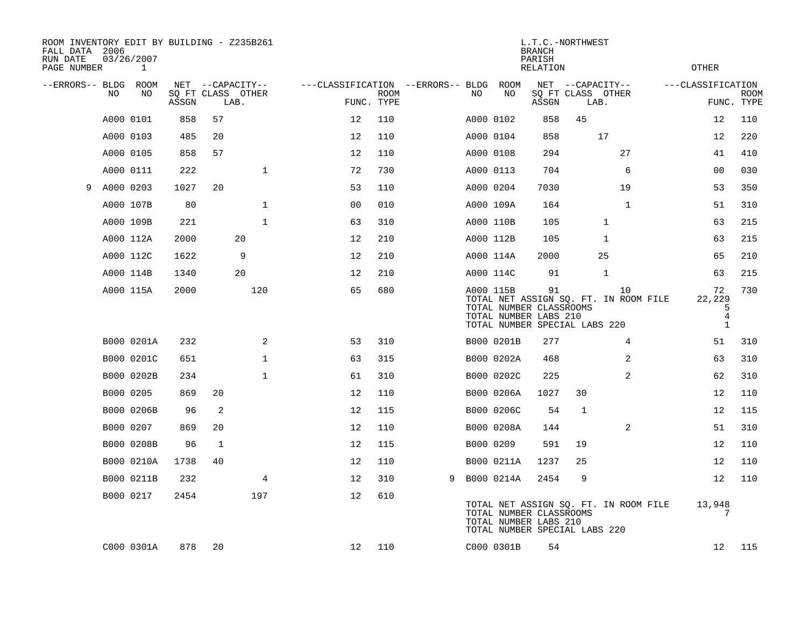| ROOM INVENTORY EDIT BY BUILDING - Z235B261<br>FALL DATA 2006<br>RUN DATE<br>PAGE NUMBER |           | 03/26/2007<br>1 |       |                           |                |                                   |                           |   |           |                                                  | <b>BRANCH</b><br>PARISH<br>RELATION | L.T.C.-NORTHWEST              |                                             | <b>OTHER</b>                                        |                           |
|-----------------------------------------------------------------------------------------|-----------|-----------------|-------|---------------------------|----------------|-----------------------------------|---------------------------|---|-----------|--------------------------------------------------|-------------------------------------|-------------------------------|---------------------------------------------|-----------------------------------------------------|---------------------------|
| --ERRORS-- BLDG ROOM                                                                    |           |                 |       | NET --CAPACITY--          |                | ---CLASSIFICATION --ERRORS-- BLDG |                           |   |           | ROOM                                             |                                     | NET --CAPACITY--              |                                             | ---CLASSIFICATION                                   |                           |
|                                                                                         | NO        | NO              | ASSGN | SQ FT CLASS OTHER<br>LAB. |                |                                   | <b>ROOM</b><br>FUNC. TYPE |   | NO        | NO                                               | ASSGN                               | SQ FT CLASS OTHER<br>LAB.     |                                             |                                                     | <b>ROOM</b><br>FUNC. TYPE |
|                                                                                         | A000 0101 |                 | 858   | 57                        |                | 12                                | 110                       |   | A000 0102 |                                                  | 858                                 | 45                            |                                             | 12                                                  | 110                       |
|                                                                                         | A000 0103 |                 | 485   | 20                        |                | 12                                | 110                       |   | A000 0104 |                                                  | 858                                 | 17                            |                                             | 12                                                  | 220                       |
|                                                                                         | A000 0105 |                 | 858   | 57                        |                | 12                                | 110                       |   | A000 0108 |                                                  | 294                                 |                               | 27                                          | 41                                                  | 410                       |
|                                                                                         | A000 0111 |                 | 222   |                           | $\mathbf 1$    | 72                                | 730                       |   | A000 0113 |                                                  | 704                                 |                               | 6                                           | 00                                                  | 030                       |
| 9                                                                                       | A000 0203 |                 | 1027  | 20                        |                | 53                                | 110                       |   | A000 0204 |                                                  | 7030                                |                               | 19                                          | 53                                                  | 350                       |
|                                                                                         | A000 107B |                 | 80    |                           | $\mathbf{1}$   | 0 <sub>0</sub>                    | 010                       |   | A000 109A |                                                  | 164                                 |                               | $\mathbf{1}$                                | 51                                                  | 310                       |
|                                                                                         | A000 109B |                 | 221   |                           | $\mathbf{1}$   | 63                                | 310                       |   | A000 110B |                                                  | 105                                 |                               | $\mathbf{1}$                                | 63                                                  | 215                       |
|                                                                                         | A000 112A |                 | 2000  |                           | 20             | 12                                | 210                       |   | A000 112B |                                                  | 105                                 | 1                             |                                             | 63                                                  | 215                       |
|                                                                                         | A000 112C |                 | 1622  |                           | 9              | 12                                | 210                       |   | A000 114A |                                                  | 2000                                | 25                            |                                             | 65                                                  | 210                       |
|                                                                                         | A000 114B |                 | 1340  |                           | 20             | 12                                | 210                       |   | A000 114C |                                                  | 91                                  | 1                             |                                             | 63                                                  | 215                       |
|                                                                                         |           | A000 115A       | 2000  |                           | 120            | 65                                | 680                       |   | A000 115B | TOTAL NUMBER CLASSROOMS<br>TOTAL NUMBER LABS 210 | 91                                  | TOTAL NUMBER SPECIAL LABS 220 | 10<br>TOTAL NET ASSIGN SQ. FT. IN ROOM FILE | 72<br>22,229<br>5<br>$\overline{4}$<br>$\mathbf{1}$ | 730                       |
|                                                                                         |           | B000 0201A      | 232   |                           | 2              | 53                                | 310                       |   |           | B000 0201B                                       | 277                                 |                               | $\overline{4}$                              | 51                                                  | 310                       |
|                                                                                         |           | B000 0201C      | 651   |                           | $\mathbf 1$    | 63                                | 315                       |   |           | B000 0202A                                       | 468                                 |                               | 2                                           | 63                                                  | 310                       |
|                                                                                         |           | B000 0202B      | 234   |                           | $\mathbf{1}$   | 61                                | 310                       |   |           | B000 0202C                                       | 225                                 |                               | $\overline{2}$                              | 62                                                  | 310                       |
|                                                                                         | B000 0205 |                 | 869   | 20                        |                | 12                                | 110                       |   |           | B000 0206A                                       | 1027                                | 30                            |                                             | 12                                                  | 110                       |
|                                                                                         |           | B000 0206B      | 96    | 2                         |                | 12                                | 115                       |   |           | B000 0206C                                       | 54                                  | $\mathbf 1$                   |                                             | 12                                                  | 115                       |
|                                                                                         | B000 0207 |                 | 869   | 20                        |                | 12                                | 110                       |   |           | B000 0208A                                       | 144                                 |                               | 2                                           | 51                                                  | 310                       |
|                                                                                         |           | B000 0208B      | 96    | 1                         |                | 12                                | 115                       |   | B000 0209 |                                                  | 591                                 | 19                            |                                             | 12                                                  | 110                       |
|                                                                                         |           | B000 0210A      | 1738  | 40                        |                | 12                                | 110                       |   |           | B000 0211A                                       | 1237                                | 25                            |                                             | 12                                                  | 110                       |
|                                                                                         |           | B000 0211B      | 232   |                           | $\overline{4}$ | 12                                | 310                       | 9 |           | B000 0214A                                       | 2454                                | 9                             |                                             | 12                                                  | 110                       |
|                                                                                         | B000 0217 |                 | 2454  |                           | 197            | 12                                | 610                       |   |           | TOTAL NUMBER CLASSROOMS<br>TOTAL NUMBER LABS 210 |                                     | TOTAL NUMBER SPECIAL LABS 220 | TOTAL NET ASSIGN SQ. FT. IN ROOM FILE       | 13,948                                              |                           |
|                                                                                         |           | C000 0301A      | 878   | 20                        |                | 12                                | 110                       |   |           | C000 0301B                                       | 54                                  |                               |                                             | 12                                                  | 115                       |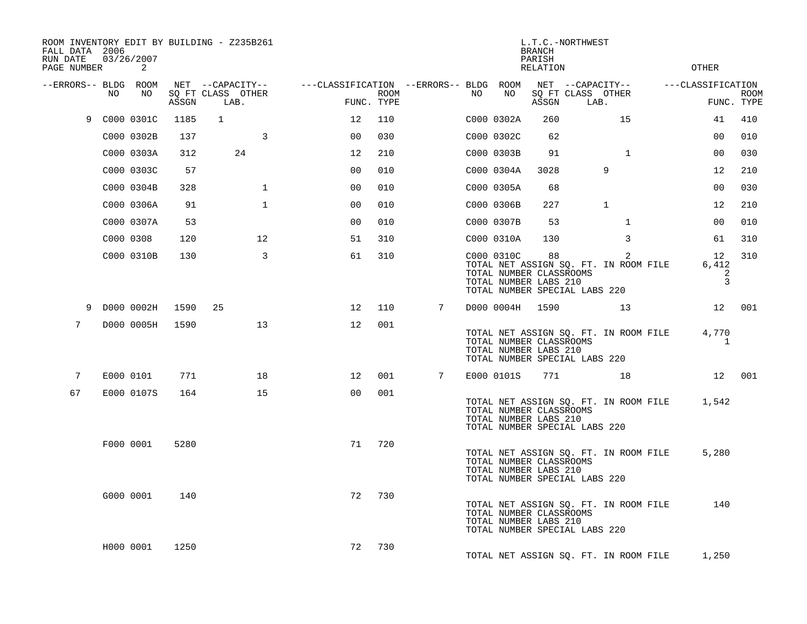| FALL DATA 2006<br>RUN DATE<br>PAGE NUMBER |     | 03/26/2007<br>2 |                                 | ROOM INVENTORY EDIT BY BUILDING - Z235B261    |                                        |                    |   |    |                                                                | <b>BRANCH</b><br>PARISH<br>RELATION | L.T.C.-NORTHWEST                                                                         | <b>OTHER</b>      |                                    |                           |
|-------------------------------------------|-----|-----------------|---------------------------------|-----------------------------------------------|----------------------------------------|--------------------|---|----|----------------------------------------------------------------|-------------------------------------|------------------------------------------------------------------------------------------|-------------------|------------------------------------|---------------------------|
| --ERRORS-- BLDG ROOM                      | NO. | NO.             | $\operatorname{\mathsf{ASSGN}}$ | NET --CAPACITY--<br>SQ FT CLASS OTHER<br>LAB. | ---CLASSIFICATION --ERRORS-- BLDG ROOM | ROOM<br>FUNC. TYPE |   | NO | NO                                                             | ASSGN                               | NET --CAPACITY--<br>SQ FT CLASS OTHER<br>LAB.                                            | ---CLASSIFICATION |                                    | <b>ROOM</b><br>FUNC. TYPE |
| 9                                         |     | C000 0301C      | 1185                            | $\mathbf{1}$                                  | 12                                     | 110                |   |    | C000 0302A                                                     | 260                                 | 15                                                                                       |                   | 41                                 | 410                       |
|                                           |     | C000 0302B      | 137                             | 3                                             | 0 <sup>0</sup>                         | 030                |   |    | C000 0302C                                                     | 62                                  |                                                                                          |                   | 0 <sub>0</sub>                     | 010                       |
|                                           |     | C000 0303A      | 312                             | 24                                            | 12                                     | 210                |   |    | C000 0303B                                                     | 91                                  | $\mathbf{1}$                                                                             |                   | 0 <sub>0</sub>                     | 030                       |
|                                           |     | C000 0303C      | 57                              |                                               | 0 <sub>0</sub>                         | 010                |   |    | C000 0304A                                                     | 3028                                | 9                                                                                        |                   | 12                                 | 210                       |
|                                           |     | C000 0304B      | 328                             | $\mathbf{1}$                                  | 0 <sub>0</sub>                         | 010                |   |    | C000 0305A                                                     | 68                                  |                                                                                          |                   | 0 <sub>0</sub>                     | 030                       |
|                                           |     | C000 0306A      | 91                              | $\mathbf{1}$                                  | 00                                     | 010                |   |    | C000 0306B                                                     | 227                                 | $\mathbf{1}$                                                                             |                   | 12                                 | 210                       |
|                                           |     | C000 0307A      | 53                              |                                               | 0 <sub>0</sub>                         | 010                |   |    | C000 0307B                                                     | 53                                  | $\mathbf{1}$                                                                             |                   | 00                                 | 010                       |
|                                           |     | C000 0308       | 120                             | 12                                            | 51                                     | 310                |   |    | C000 0310A                                                     | 130                                 | 3                                                                                        |                   | 61                                 | 310                       |
|                                           |     | C000 0310B      | 130                             | $\overline{3}$                                | 61                                     | 310                |   |    | C000 0310C<br>TOTAL NUMBER CLASSROOMS<br>TOTAL NUMBER LABS 210 | 88                                  | $\overline{2}$<br>TOTAL NET ASSIGN SQ. FT. IN ROOM FILE<br>TOTAL NUMBER SPECIAL LABS 220 |                   | 12<br>6,412<br>2<br>$\overline{3}$ | 310                       |
| 9                                         |     | D000 0002H      | 1590                            | 25                                            | $12 \overline{ }$                      | 110                | 7 |    | D000 0004H 1590                                                |                                     | 13                                                                                       |                   |                                    | 12 001                    |
| $7\phantom{.}$                            |     | D000 0005H      | 1590                            | 13                                            | 12                                     | 001                |   |    | TOTAL NUMBER CLASSROOMS<br>TOTAL NUMBER LABS 210               |                                     | TOTAL NET ASSIGN SQ. FT. IN ROOM FILE<br>TOTAL NUMBER SPECIAL LABS 220                   |                   | 4,770<br>$\mathbf{1}$              |                           |
| 7                                         |     | E000 0101       | 771                             | 18                                            | 12                                     | 001                | 7 |    | E000 0101S                                                     | 771                                 | 18                                                                                       |                   |                                    | 12 001                    |
| 67                                        |     | E000 0107S      | 164                             | 15                                            | 0 <sup>0</sup>                         | 001                |   |    | TOTAL NUMBER CLASSROOMS<br>TOTAL NUMBER LABS 210               |                                     | TOTAL NET ASSIGN SQ. FT. IN ROOM FILE<br>TOTAL NUMBER SPECIAL LABS 220                   |                   | 1,542                              |                           |
|                                           |     | F000 0001       | 5280                            |                                               | 71                                     | 720                |   |    | TOTAL NUMBER CLASSROOMS<br>TOTAL NUMBER LABS 210               |                                     | TOTAL NET ASSIGN SQ. FT. IN ROOM FILE<br>TOTAL NUMBER SPECIAL LABS 220                   |                   | 5,280                              |                           |
|                                           |     | G000 0001       | 140                             |                                               | 72                                     | 730                |   |    | TOTAL NUMBER CLASSROOMS<br>TOTAL NUMBER LABS 210               |                                     | TOTAL NET ASSIGN SQ. FT. IN ROOM FILE<br>TOTAL NUMBER SPECIAL LABS 220                   |                   | 140                                |                           |
|                                           |     | H000 0001       | 1250                            |                                               | 72                                     | 730                |   |    |                                                                |                                     | TOTAL NET ASSIGN SQ. FT. IN ROOM FILE                                                    |                   | 1,250                              |                           |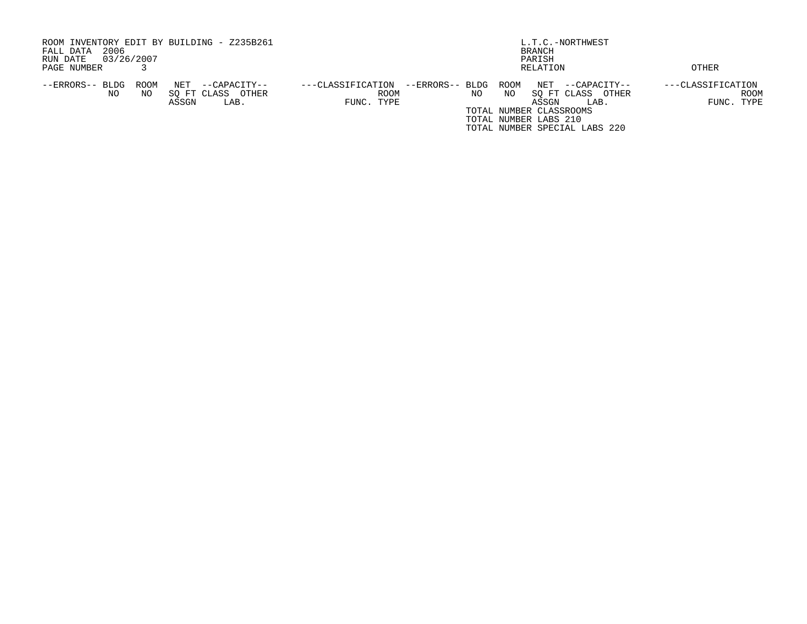| ROOM INVENTORY EDIT BY BUILDING - Z235B261     |                                           | L.T.C.-NORTHWEST                   |                   |  |  |  |  |  |  |
|------------------------------------------------|-------------------------------------------|------------------------------------|-------------------|--|--|--|--|--|--|
| 2006<br>FALL DATA                              |                                           | BRANCH                             |                   |  |  |  |  |  |  |
| 03/26/2007<br>RUN DATE                         |                                           | PARISH                             |                   |  |  |  |  |  |  |
| PAGE NUMBER                                    |                                           | RELATION                           | OTHER             |  |  |  |  |  |  |
| --ERRORS-- BLDG<br>ROOM<br>NET<br>--CAPACITY-- | --ERRORS-- BLDG ROOM<br>---CLASSIFICATION | NET<br>--CAPACITY--                | ---CLASSIFICATION |  |  |  |  |  |  |
| OTHER<br>SO FT CLASS<br>NO.<br>NO.             | <b>ROOM</b>                               | SO FT CLASS<br>NO.<br>NO.<br>OTHER | ROOM              |  |  |  |  |  |  |
| ASSGN<br>LAB.                                  | FUNC. TYPE                                | ASSGN<br>LAB.                      | FUNC. TYPE        |  |  |  |  |  |  |
|                                                |                                           | TOTAL NUMBER CLASSROOMS            |                   |  |  |  |  |  |  |
|                                                |                                           | TOTAL NUMBER LABS 210              |                   |  |  |  |  |  |  |
|                                                |                                           | TOTAL NUMBER SPECIAL LABS 220      |                   |  |  |  |  |  |  |